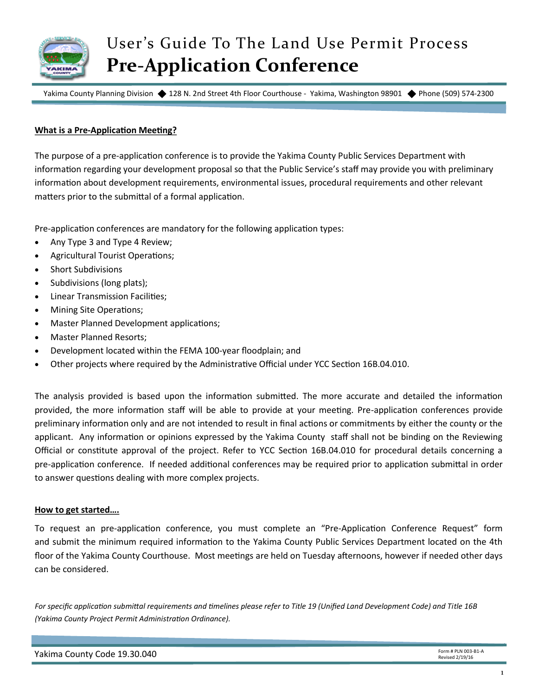

## User's Guide To The Land Use Permit Process **Pre-Application Conference**

Yakima County Planning Division ♦ 128 N. 2nd Street 4th Floor Courthouse - Yakima, Washington 98901 ♦ Phone (509) 574-2300

## **What is a Pre-Application Meeting?**

The purpose of a pre-application conference is to provide the Yakima County Public Services Department with information regarding your development proposal so that the Public Service's staff may provide you with preliminary information about development requirements, environmental issues, procedural requirements and other relevant matters prior to the submittal of a formal application.

Pre-application conferences are mandatory for the following application types:

- Any Type 3 and Type 4 Review;
- Agricultural Tourist Operations;
- Short Subdivisions
- Subdivisions (long plats);
- Linear Transmission Facilities;
- Mining Site Operations;
- Master Planned Development applications;
- Master Planned Resorts;
- Development located within the FEMA 100-year floodplain; and
- Other projects where required by the Administrative Official under YCC Section 16B.04.010.

The analysis provided is based upon the information submitted. The more accurate and detailed the information provided, the more information staff will be able to provide at your meeting. Pre-application conferences provide preliminary information only and are not intended to result in final actions or commitments by either the county or the applicant. Any information or opinions expressed by the Yakima County staff shall not be binding on the Reviewing Official or constitute approval of the project. Refer to YCC Section 16B.04.010 for procedural details concerning a pre-application conference. If needed additional conferences may be required prior to application submittal in order to answer questions dealing with more complex projects.

## **How to get started….**

To request an pre-application conference, you must complete an "Pre-Application Conference Request" form and submit the minimum required information to the Yakima County Public Services Department located on the 4th floor of the Yakima County Courthouse. Most meetings are held on Tuesday afternoons, however if needed other days can be considered.

*For specific application submittal requirements and timelines please refer to Title 19 (Unified Land Development Code) and Title 16B (Yakima County Project Permit Administration Ordinance).*